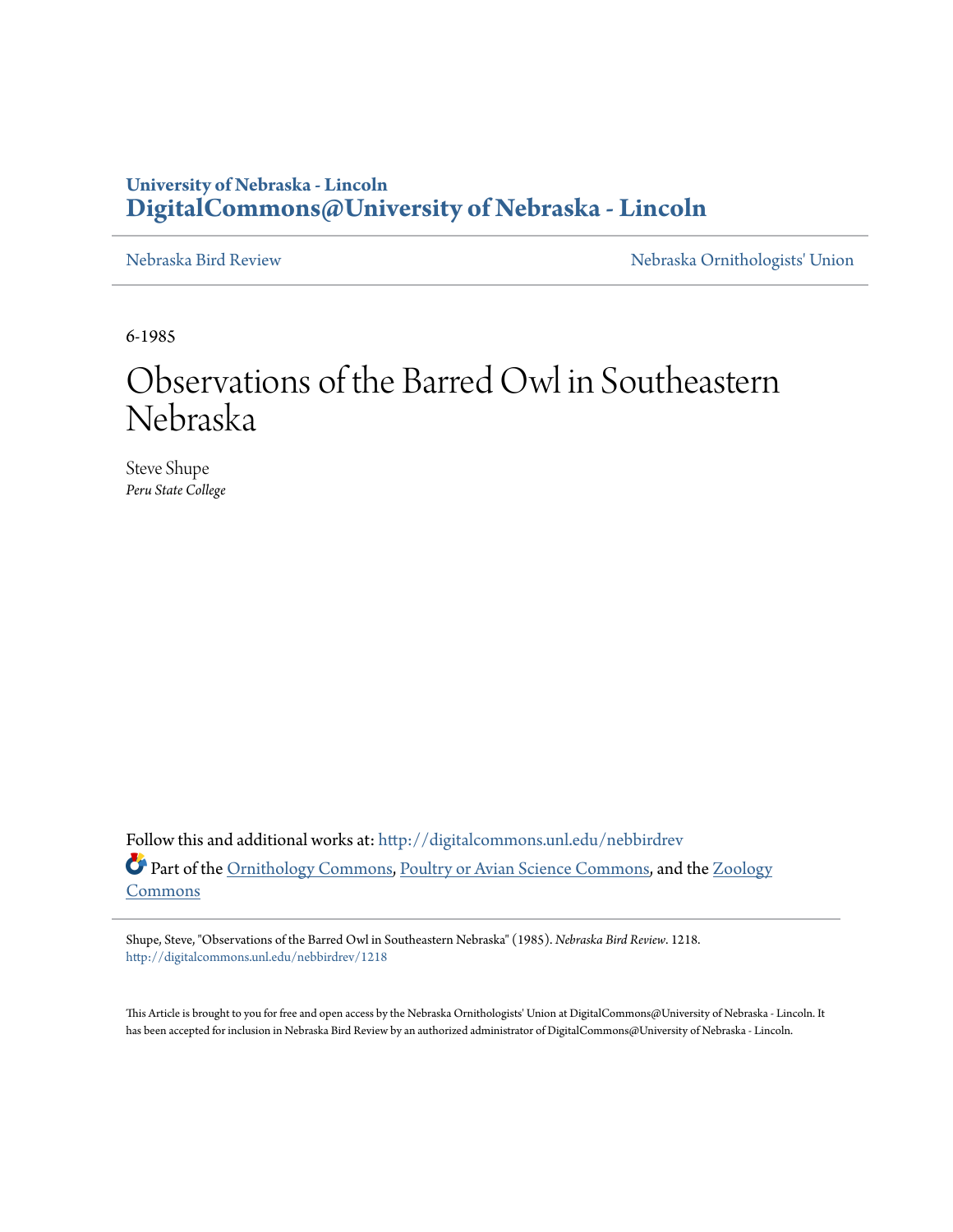## **University of Nebraska - Lincoln [DigitalCommons@University of Nebraska - Lincoln](http://digitalcommons.unl.edu?utm_source=digitalcommons.unl.edu%2Fnebbirdrev%2F1218&utm_medium=PDF&utm_campaign=PDFCoverPages)**

[Nebraska Bird Review](http://digitalcommons.unl.edu/nebbirdrev?utm_source=digitalcommons.unl.edu%2Fnebbirdrev%2F1218&utm_medium=PDF&utm_campaign=PDFCoverPages) [Nebraska Ornithologists' Union](http://digitalcommons.unl.edu/nebornithologists?utm_source=digitalcommons.unl.edu%2Fnebbirdrev%2F1218&utm_medium=PDF&utm_campaign=PDFCoverPages)

6-1985

## Observations of the Barred Owl in Southeastern Nebraska

Steve Shupe *Peru State College*

Follow this and additional works at: [http://digitalcommons.unl.edu/nebbirdrev](http://digitalcommons.unl.edu/nebbirdrev?utm_source=digitalcommons.unl.edu%2Fnebbirdrev%2F1218&utm_medium=PDF&utm_campaign=PDFCoverPages) Part of the [Ornithology Commons](http://network.bepress.com/hgg/discipline/1190?utm_source=digitalcommons.unl.edu%2Fnebbirdrev%2F1218&utm_medium=PDF&utm_campaign=PDFCoverPages), [Poultry or Avian Science Commons,](http://network.bepress.com/hgg/discipline/80?utm_source=digitalcommons.unl.edu%2Fnebbirdrev%2F1218&utm_medium=PDF&utm_campaign=PDFCoverPages) and the [Zoology](http://network.bepress.com/hgg/discipline/81?utm_source=digitalcommons.unl.edu%2Fnebbirdrev%2F1218&utm_medium=PDF&utm_campaign=PDFCoverPages) [Commons](http://network.bepress.com/hgg/discipline/81?utm_source=digitalcommons.unl.edu%2Fnebbirdrev%2F1218&utm_medium=PDF&utm_campaign=PDFCoverPages)

Shupe, Steve, "Observations of the Barred Owl in Southeastern Nebraska" (1985). *Nebraska Bird Review*. 1218. [http://digitalcommons.unl.edu/nebbirdrev/1218](http://digitalcommons.unl.edu/nebbirdrev/1218?utm_source=digitalcommons.unl.edu%2Fnebbirdrev%2F1218&utm_medium=PDF&utm_campaign=PDFCoverPages)

This Article is brought to you for free and open access by the Nebraska Ornithologists' Union at DigitalCommons@University of Nebraska - Lincoln. It has been accepted for inclusion in Nebraska Bird Review by an authorized administrator of DigitalCommons@University of Nebraska - Lincoln.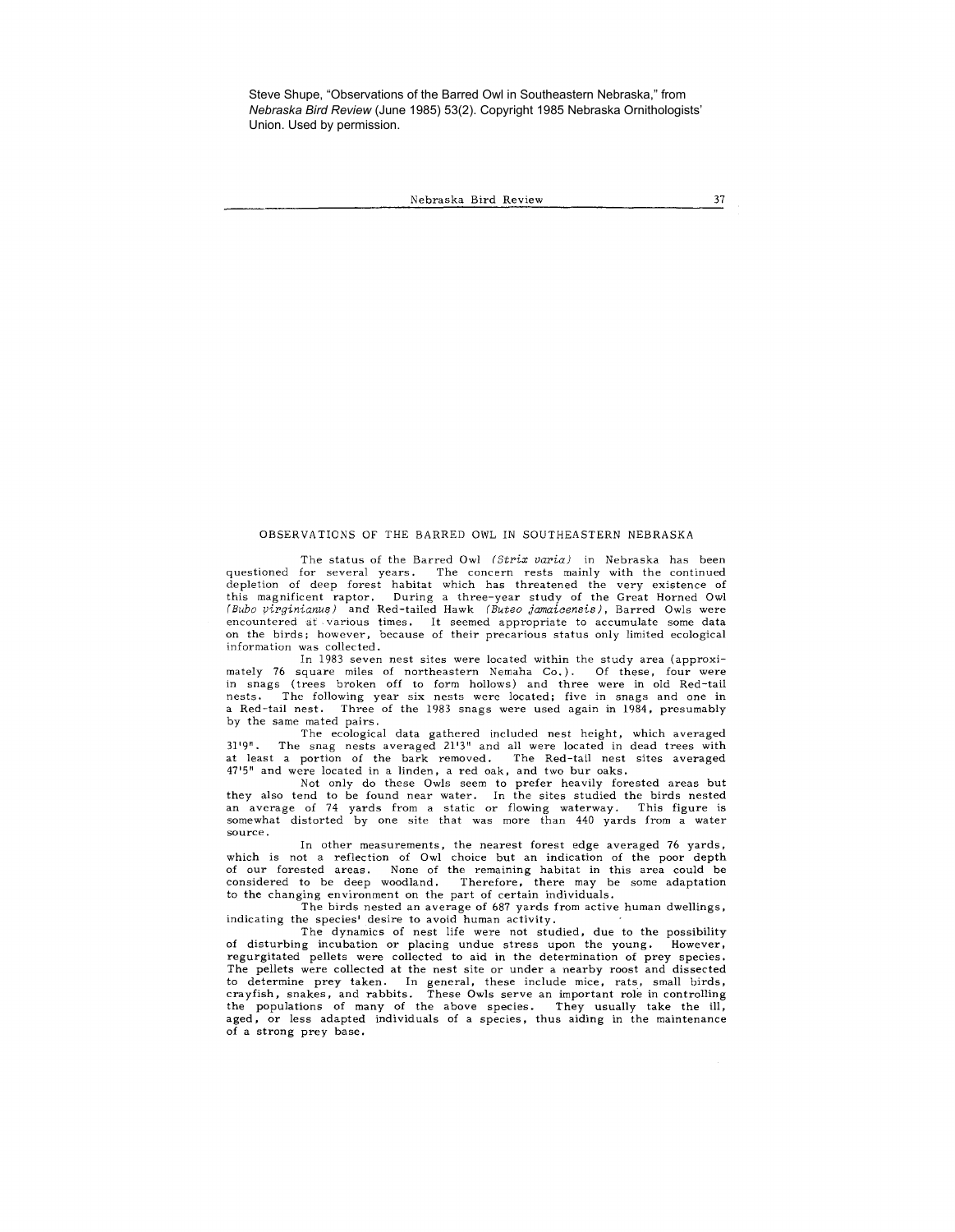Steve Shupe, "Observations of the Barred Owl in Southeastern Nebraska," from *Nebraska Bird Review* (June 1985) 53(2). Copyright 1985 Nebraska Ornithologists' Union. Used by permission.

Nebraska Bird Review 37

## OBSERVATIONS OF THE BARRED OWL IN SOUTHEASTERN NEBRASKA

The status of the Barred Owl (Strix varia) in Nebraska has been questioned for several years. The concern rests mainly with the continued depletion of deep forest habitat which has threatened the very existence of this magnificent raptor. During a three-year study of the Great Horned Owl *(Bubo virginianus)* and Red-tailed Hawk *( Buteo jamaicensis),* Barred Owls were encountered at various times. It seemed appropriate to accumulate some data on the birds; however, because of their precarious status only limited ecological **information was collected.** 

In 1983 seven nest sites were located within the study area (approximately 76 square miles of northeastern Nemaha Co.). Of these, four were in snags (trees broken off to form hollows) and three were in old Red-tail nests. The following year six nests were located; five in snags and one in a Red-tail nest. Three of the 1983 snags were used again in 1984, presumably by the same mated pairs.

The ecological data gathered included nest height, which averaged 31 '9". The snag nests averaged 21'3" and all were located in dead trees with at least a portion of the bark removed. The Red-tail nest sites averaged 47'5" and were located in a linden, a red oak, and two bur oaks.

Not only do these Owls seem to prefer heavily forested areas but they also tend to be found near water. In the sites studied the birds nested an average of 74 yards from a static or flowing waterway, This figure is somewhat distorted by one site that was more than 440 yards from a water **source.** 

In other measurements, the nearest forest edge averaged 76 yards, which is not a reflection of Owl choice but an indication of the poor depth of our forested areas. None of the remaining habitat in this area could be considered to be deep woodland, Therefore, there may be some adaptation to the changing environment on the part of certain individuals.

The birds nested an average of 687 yards from active human dwellings, indicating the species' desire to avoid human activity,

The dynamics of nest life were not studied, due to the possibility of disturbing incubation or placing undue stress upon the young. However, regurgitated pellets were collected to aid in the determination of prey species. The pellets were collected at the nest site or under a nearby roost and dissected to determine prey taken. In general, these include mice, rats, small birds, crayfish, snakes, and rabbits. These Owls serve an important role in controlling the populations of many of the above species. They usually take t of a strong prey base.